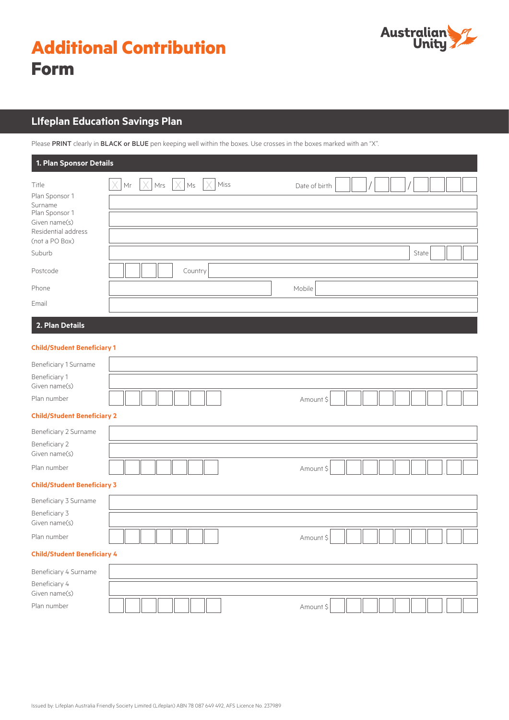

# **LIfeplan Education Savings Plan**

Please PRINT clearly in BLACK or BLUE pen keeping well within the boxes. Use crosses in the boxes marked with an "X".

| 1. Plan Sponsor Details                                                                                                              |                                                                     |                        |  |  |  |  |  |  |  |
|--------------------------------------------------------------------------------------------------------------------------------------|---------------------------------------------------------------------|------------------------|--|--|--|--|--|--|--|
| Title<br>Plan Sponsor 1<br>Surname<br>Plan Sponsor 1<br>Given name(s)<br>Residential address<br>(not a PO Box)<br>Suburb<br>Postcode | X<br>$\times$<br>Mrs<br>Miss<br>Mr<br>$\mathsf{Ms}$<br>X<br>Country | Date of birth<br>State |  |  |  |  |  |  |  |
| Phone                                                                                                                                |                                                                     | Mobile                 |  |  |  |  |  |  |  |
| Email                                                                                                                                |                                                                     |                        |  |  |  |  |  |  |  |
| 2. Plan Details                                                                                                                      |                                                                     |                        |  |  |  |  |  |  |  |
| <b>Child/Student Beneficiary 1</b>                                                                                                   |                                                                     |                        |  |  |  |  |  |  |  |
| Beneficiary 1 Surname                                                                                                                |                                                                     |                        |  |  |  |  |  |  |  |
| Beneficiary 1<br>Given name(s)                                                                                                       |                                                                     |                        |  |  |  |  |  |  |  |
| Plan number                                                                                                                          |                                                                     | Amount \$              |  |  |  |  |  |  |  |
| <b>Child/Student Beneficiary 2</b>                                                                                                   |                                                                     |                        |  |  |  |  |  |  |  |
| Beneficiary 2 Surname<br>Beneficiary 2<br>Given name(s)                                                                              |                                                                     |                        |  |  |  |  |  |  |  |
| Plan number                                                                                                                          |                                                                     | Amount \$              |  |  |  |  |  |  |  |
| <b>Child/Student Beneficiary 3</b>                                                                                                   |                                                                     |                        |  |  |  |  |  |  |  |
| Beneficiary 3 Surname                                                                                                                |                                                                     |                        |  |  |  |  |  |  |  |
| Beneficiary 3<br>Given name(s)                                                                                                       |                                                                     |                        |  |  |  |  |  |  |  |
| Plan number                                                                                                                          |                                                                     | Amount \$              |  |  |  |  |  |  |  |
| <b>Child/Student Beneficiary 4</b>                                                                                                   |                                                                     |                        |  |  |  |  |  |  |  |
| Beneficiary 4 Surname                                                                                                                |                                                                     |                        |  |  |  |  |  |  |  |
| Beneficiary 4                                                                                                                        |                                                                     |                        |  |  |  |  |  |  |  |
| Given name(s)<br>Plan number                                                                                                         |                                                                     | Amount \$              |  |  |  |  |  |  |  |